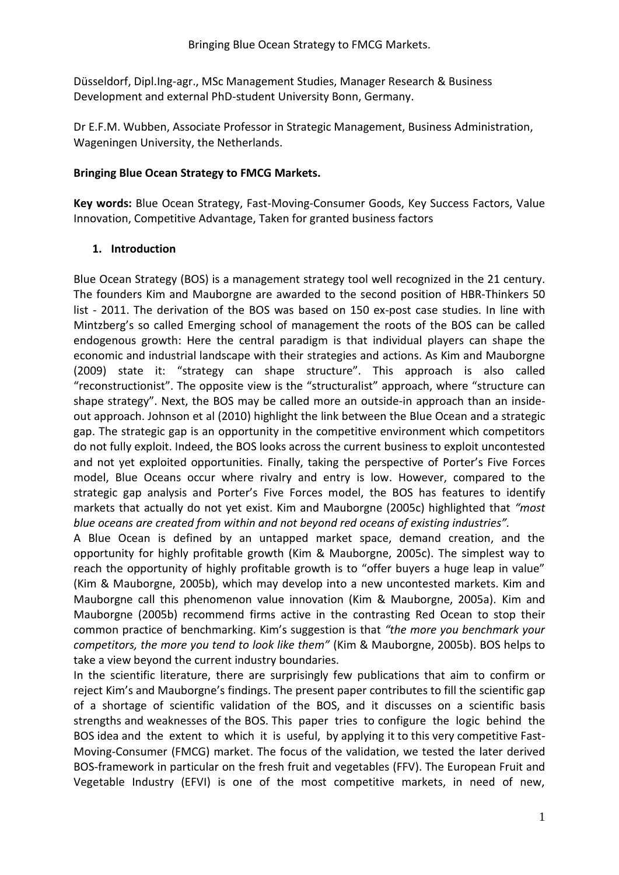Düsseldorf, Dipl.Ing-agr., MSc Management Studies, Manager Research & Business Development and external PhD-student University Bonn, Germany.

Dr E.F.M. Wubben, Associate Professor in Strategic Management, Business Administration, Wageningen University, the Netherlands.

#### **Bringing Blue Ocean Strategy to FMCG Markets.**

**Key words:** Blue Ocean Strategy, Fast-Moving-Consumer Goods, Key Success Factors, Value Innovation, Competitive Advantage, Taken for granted business factors

#### **1. Introduction**

Blue Ocean Strategy (BOS) is a management strategy tool well recognized in the 21 century. The founders Kim and Mauborgne are awarded to the second position of HBR-Thinkers 50 list - 2011. The derivation of the BOS was based on 150 ex-post case studies. In line with Mintzberg's so called Emerging school of management the roots of the BOS can be called endogenous growth: Here the central paradigm is that individual players can shape the economic and industrial landscape with their strategies and actions. As Kim and Mauborgne (2009) state it: "strategy can shape structure". This approach is also called "reconstructionist". The opposite view is the "structuralist" approach, where "structure can shape strategy". Next, the BOS may be called more an outside-in approach than an insideout approach. Johnson et al (2010) highlight the link between the Blue Ocean and a strategic gap. The strategic gap is an opportunity in the competitive environment which competitors do not fully exploit. Indeed, the BOS looks across the current business to exploit uncontested and not yet exploited opportunities. Finally, taking the perspective of Porter's Five Forces model, Blue Oceans occur where rivalry and entry is low. However, compared to the strategic gap analysis and Porter's Five Forces model, the BOS has features to identify markets that actually do not yet exist. Kim and Mauborgne (2005c) highlighted that *"most blue oceans are created from within and not beyond red oceans of existing industries".*

A Blue Ocean is defined by an untapped market space, demand creation, and the opportunity for highly profitable growth (Kim & Mauborgne, 2005c). The simplest way to reach the opportunity of highly profitable growth is to "offer buyers a huge leap in value" (Kim & Mauborgne, 2005b), which may develop into a new uncontested markets. Kim and Mauborgne call this phenomenon value innovation (Kim & Mauborgne, 2005a). Kim and Mauborgne (2005b) recommend firms active in the contrasting Red Ocean to stop their common practice of benchmarking. Kim's suggestion is that *"the more you benchmark your competitors, the more you tend to look like them"* (Kim & Mauborgne, 2005b). BOS helps to take a view beyond the current industry boundaries.

In the scientific literature, there are surprisingly few publications that aim to confirm or reject Kim's and Mauborgne's findings. The present paper contributes to fill the scientific gap of a shortage of scientific validation of the BOS, and it discusses on a scientific basis strengths and weaknesses of the BOS. This paper tries to configure the logic behind the BOS idea and the extent to which it is useful, by applying it to this very competitive Fast-Moving-Consumer (FMCG) market. The focus of the validation, we tested the later derived BOS-framework in particular on the fresh fruit and vegetables (FFV). The European Fruit and Vegetable Industry (EFVI) is one of the most competitive markets, in need of new,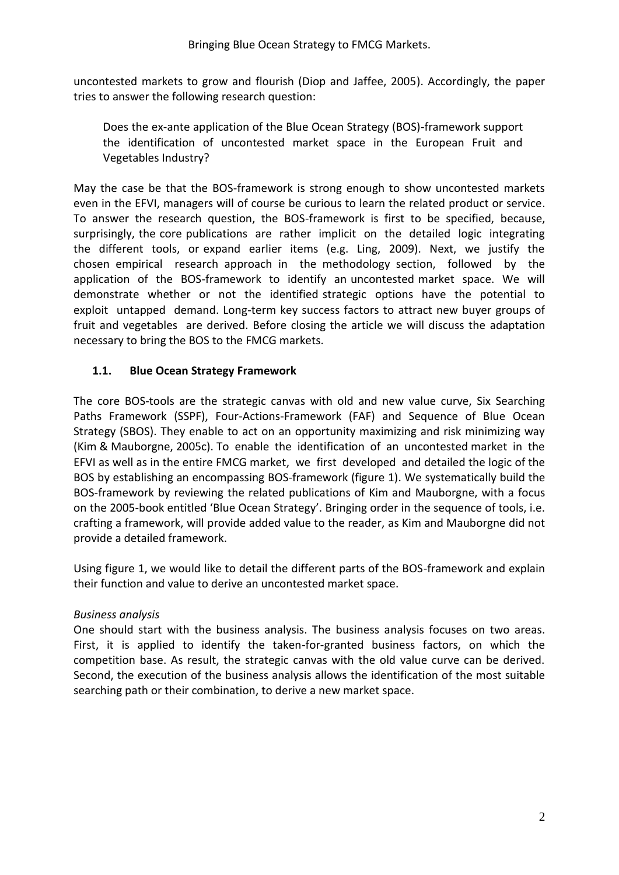uncontested markets to grow and flourish (Diop and Jaffee, 2005). Accordingly, the paper tries to answer the following research question:

Does the ex-ante application of the Blue Ocean Strategy (BOS)-framework support the identification of uncontested market space in the European Fruit and Vegetables Industry?

May the case be that the BOS-framework is strong enough to show uncontested markets even in the EFVI, managers will of course be curious to learn the related product or service. To answer the research question, the BOS-framework is first to be specified, because, surprisingly, the core publications are rather implicit on the detailed logic integrating the different tools, or expand earlier items (e.g. Ling, 2009). Next, we justify the chosen empirical research approach in the methodology section, followed by the application of the BOS-framework to identify an uncontested market space. We will demonstrate whether or not the identified strategic options have the potential to exploit untapped demand. Long-term key success factors to attract new buyer groups of fruit and vegetables are derived. Before closing the article we will discuss the adaptation necessary to bring the BOS to the FMCG markets.

#### **1.1. Blue Ocean Strategy Framework**

The core BOS-tools are the strategic canvas with old and new value curve, Six Searching Paths Framework (SSPF), Four-Actions-Framework (FAF) and Sequence of Blue Ocean Strategy (SBOS). They enable to act on an opportunity maximizing and risk minimizing way (Kim & Mauborgne, 2005c). To enable the identification of an uncontested market in the EFVI as well as in the entire FMCG market, we first developed and detailed the logic of the BOS by establishing an encompassing BOS-framework (figure 1). We systematically build the BOS-framework by reviewing the related publications of Kim and Mauborgne, with a focus on the 2005-book entitled 'Blue Ocean Strategy'. Bringing order in the sequence of tools, i.e. crafting a framework, will provide added value to the reader, as Kim and Mauborgne did not provide a detailed framework.

Using figure 1, we would like to detail the different parts of the BOS-framework and explain their function and value to derive an uncontested market space.

# *Business analysis*

One should start with the business analysis. The business analysis focuses on two areas. First, it is applied to identify the taken-for-granted business factors, on which the competition base. As result, the strategic canvas with the old value curve can be derived. Second, the execution of the business analysis allows the identification of the most suitable searching path or their combination, to derive a new market space.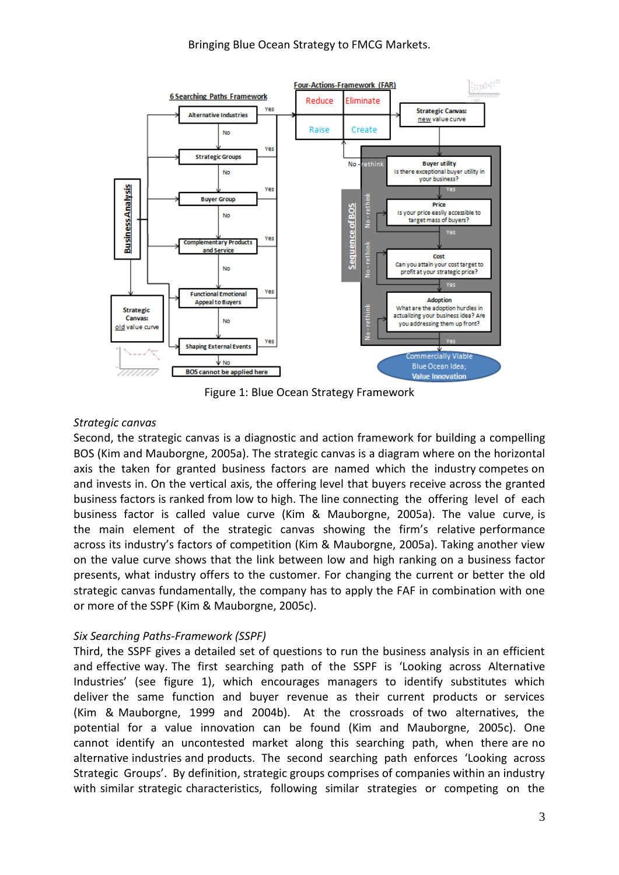#### Bringing Blue Ocean Strategy to FMCG Markets.



Figure 1: Blue Ocean Strategy Framework

#### *Strategic canvas*

Second, the strategic canvas is a diagnostic and action framework for building a compelling BOS (Kim and Mauborgne, 2005a). The strategic canvas is a diagram where on the horizontal axis the taken for granted business factors are named which the industry competes on and invests in. On the vertical axis, the offering level that buyers receive across the granted business factors is ranked from low to high. The line connecting the offering level of each business factor is called value curve (Kim & Mauborgne, 2005a). The value curve, is the main element of the strategic canvas showing the firm's relative performance across its industry's factors of competition (Kim & Mauborgne, 2005a). Taking another view on the value curve shows that the link between low and high ranking on a business factor presents, what industry offers to the customer. For changing the current or better the old strategic canvas fundamentally, the company has to apply the FAF in combination with one or more of the SSPF (Kim & Mauborgne, 2005c).

#### *Six Searching Paths-Framework (SSPF)*

Third, the SSPF gives a detailed set of questions to run the business analysis in an efficient and effective way. The first searching path of the SSPF is 'Looking across Alternative Industries' (see figure 1), which encourages managers to identify substitutes which deliver the same function and buyer revenue as their current products or services (Kim & Mauborgne, 1999 and 2004b). At the crossroads of two alternatives, the potential for a value innovation can be found (Kim and Mauborgne, 2005c). One cannot identify an uncontested market along this searching path, when there are no alternative industries and products. The second searching path enforces 'Looking across Strategic Groups'. By definition, strategic groups comprises of companies within an industry with similar strategic characteristics, following similar strategies or competing on the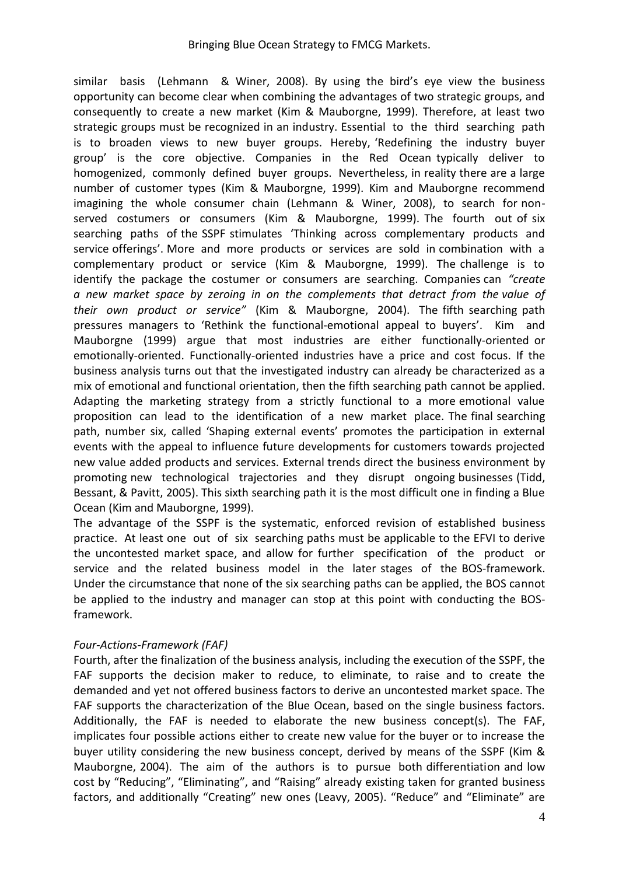similar basis (Lehmann & Winer, 2008). By using the bird's eye view the business opportunity can become clear when combining the advantages of two strategic groups, and consequently to create a new market (Kim & Mauborgne, 1999). Therefore, at least two strategic groups must be recognized in an industry. Essential to the third searching path is to broaden views to new buyer groups. Hereby, 'Redefining the industry buyer group' is the core objective. Companies in the Red Ocean typically deliver to homogenized, commonly defined buyer groups. Nevertheless, in reality there are a large number of customer types (Kim & Mauborgne, 1999). Kim and Mauborgne recommend imagining the whole consumer chain (Lehmann & Winer, 2008), to search for nonserved costumers or consumers (Kim & Mauborgne, 1999). The fourth out of six searching paths of the SSPF stimulates 'Thinking across complementary products and service offerings'. More and more products or services are sold in combination with a complementary product or service (Kim & Mauborgne, 1999). The challenge is to identify the package the costumer or consumers are searching. Companies can *"create a new market space by zeroing in on the complements that detract from the value of their own product or service"* (Kim & Mauborgne, 2004). The fifth searching path pressures managers to 'Rethink the functional-emotional appeal to buyers'. Kim and Mauborgne (1999) argue that most industries are either functionally-oriented or emotionally-oriented. Functionally-oriented industries have a price and cost focus. If the business analysis turns out that the investigated industry can already be characterized as a mix of emotional and functional orientation, then the fifth searching path cannot be applied. Adapting the marketing strategy from a strictly functional to a more emotional value proposition can lead to the identification of a new market place. The final searching path, number six, called 'Shaping external events' promotes the participation in external events with the appeal to influence future developments for customers towards projected new value added products and services. External trends direct the business environment by promoting new technological trajectories and they disrupt ongoing businesses (Tidd, Bessant, & Pavitt, 2005). This sixth searching path it is the most difficult one in finding a Blue Ocean (Kim and Mauborgne, 1999).

The advantage of the SSPF is the systematic, enforced revision of established business practice. At least one out of six searching paths must be applicable to the EFVI to derive the uncontested market space, and allow for further specification of the product or service and the related business model in the later stages of the BOS-framework. Under the circumstance that none of the six searching paths can be applied, the BOS cannot be applied to the industry and manager can stop at this point with conducting the BOSframework.

#### *Four-Actions-Framework (FAF)*

Fourth, after the finalization of the business analysis, including the execution of the SSPF, the FAF supports the decision maker to reduce, to eliminate, to raise and to create the demanded and yet not offered business factors to derive an uncontested market space. The FAF supports the characterization of the Blue Ocean, based on the single business factors. Additionally, the FAF is needed to elaborate the new business concept(s). The FAF, implicates four possible actions either to create new value for the buyer or to increase the buyer utility considering the new business concept, derived by means of the SSPF (Kim & Mauborgne, 2004). The aim of the authors is to pursue both differentiation and low cost by "Reducing", "Eliminating", and "Raising" already existing taken for granted business factors, and additionally "Creating" new ones (Leavy, 2005). "Reduce" and "Eliminate" are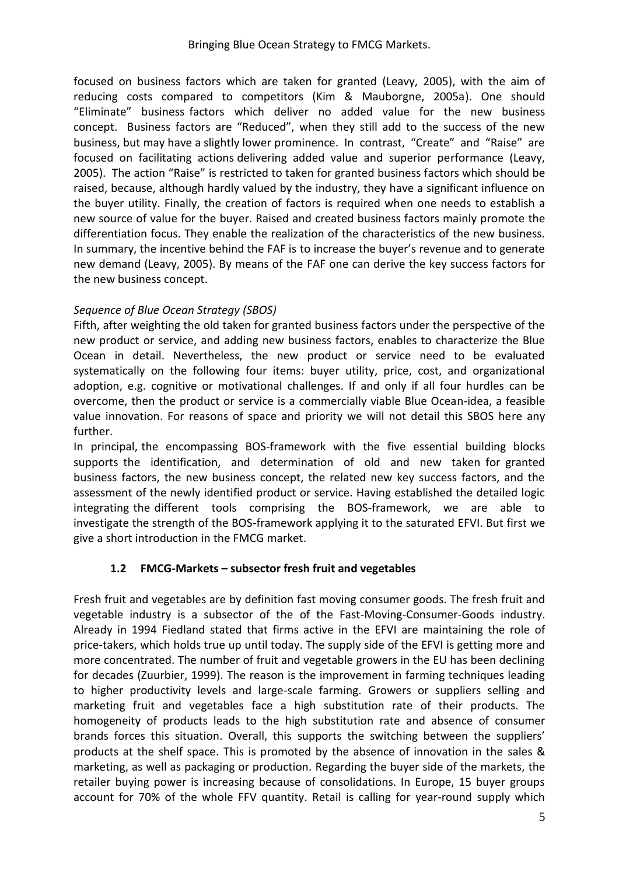focused on business factors which are taken for granted (Leavy, 2005), with the aim of reducing costs compared to competitors (Kim & Mauborgne, 2005a). One should "Eliminate" business factors which deliver no added value for the new business concept. Business factors are "Reduced", when they still add to the success of the new business, but may have a slightly lower prominence. In contrast, "Create" and "Raise" are focused on facilitating actions delivering added value and superior performance (Leavy, 2005). The action "Raise" is restricted to taken for granted business factors which should be raised, because, although hardly valued by the industry, they have a significant influence on the buyer utility. Finally, the creation of factors is required when one needs to establish a new source of value for the buyer. Raised and created business factors mainly promote the differentiation focus. They enable the realization of the characteristics of the new business. In summary, the incentive behind the FAF is to increase the buyer's revenue and to generate new demand (Leavy, 2005). By means of the FAF one can derive the key success factors for the new business concept.

# *Sequence of Blue Ocean Strategy (SBOS)*

Fifth, after weighting the old taken for granted business factors under the perspective of the new product or service, and adding new business factors, enables to characterize the Blue Ocean in detail. Nevertheless, the new product or service need to be evaluated systematically on the following four items: buyer utility, price, cost, and organizational adoption, e.g. cognitive or motivational challenges. If and only if all four hurdles can be overcome, then the product or service is a commercially viable Blue Ocean-idea, a feasible value innovation. For reasons of space and priority we will not detail this SBOS here any further.

In principal, the encompassing BOS-framework with the five essential building blocks supports the identification, and determination of old and new taken for granted business factors, the new business concept, the related new key success factors, and the assessment of the newly identified product or service. Having established the detailed logic integrating the different tools comprising the BOS-framework, we are able to investigate the strength of the BOS-framework applying it to the saturated EFVI. But first we give a short introduction in the FMCG market.

# **1.2 FMCG-Markets – subsector fresh fruit and vegetables**

Fresh fruit and vegetables are by definition fast moving consumer goods. The fresh fruit and vegetable industry is a subsector of the of the Fast-Moving-Consumer-Goods industry. Already in 1994 Fiedland stated that firms active in the EFVI are maintaining the role of price-takers, which holds true up until today. The supply side of the EFVI is getting more and more concentrated. The number of fruit and vegetable growers in the EU has been declining for decades (Zuurbier, 1999). The reason is the improvement in farming techniques leading to higher productivity levels and large-scale farming. Growers or suppliers selling and marketing fruit and vegetables face a high substitution rate of their products. The homogeneity of products leads to the high substitution rate and absence of consumer brands forces this situation. Overall, this supports the switching between the suppliers' products at the shelf space. This is promoted by the absence of innovation in the sales & marketing, as well as packaging or production. Regarding the buyer side of the markets, the retailer buying power is increasing because of consolidations. In Europe, 15 buyer groups account for 70% of the whole FFV quantity. Retail is calling for year-round supply which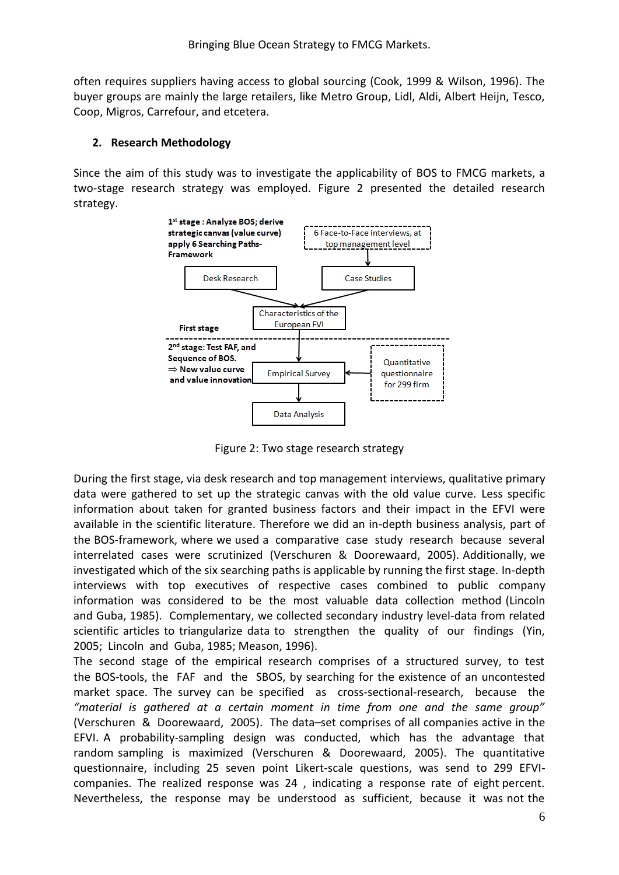often requires suppliers having access to global sourcing (Cook, 1999 & Wilson, 1996). The buyer groups are mainly the large retailers, like Metro Group, Lidl, Aldi, Albert Heijn, Tesco, Coop, Migros, Carrefour, and etcetera.

### **2. Research Methodology**

Since the aim of this study was to investigate the applicability of BOS to FMCG markets, a two-stage research strategy was employed. Figure 2 presented the detailed research strategy.



Figure 2: Two stage research strategy

During the first stage, via desk research and top management interviews, qualitative primary data were gathered to set up the strategic canvas with the old value curve. Less specific information about taken for granted business factors and their impact in the EFVI were available in the scientific literature. Therefore we did an in-depth business analysis, part of the BOS-framework, where we used a comparative case study research because several interrelated cases were scrutinized (Verschuren & Doorewaard, 2005). Additionally, we investigated which of the six searching paths is applicable by running the first stage. In-depth interviews with top executives of respective cases combined to public company information was considered to be the most valuable data collection method (Lincoln and Guba, 1985). Complementary, we collected secondary industry level-data from related scientific articles to triangularize data to strengthen the quality of our findings (Yin, 2005; Lincoln and Guba, 1985; Meason, 1996).

The second stage of the empirical research comprises of a structured survey, to test the BOS-tools, the FAF and the SBOS, by searching for the existence of an uncontested market space. The survey can be specified as cross-sectional-research, because the *"material is gathered at a certain moment in time from one and the same group"* (Verschuren & Doorewaard, 2005). The data–set comprises of all companies active in the EFVI. A probability-sampling design was conducted, which has the advantage that random sampling is maximized (Verschuren & Doorewaard, 2005). The quantitative questionnaire, including 25 seven point Likert-scale questions, was send to 299 EFVIcompanies. The realized response was 24 , indicating a response rate of eight percent. Nevertheless, the response may be understood as sufficient, because it was not the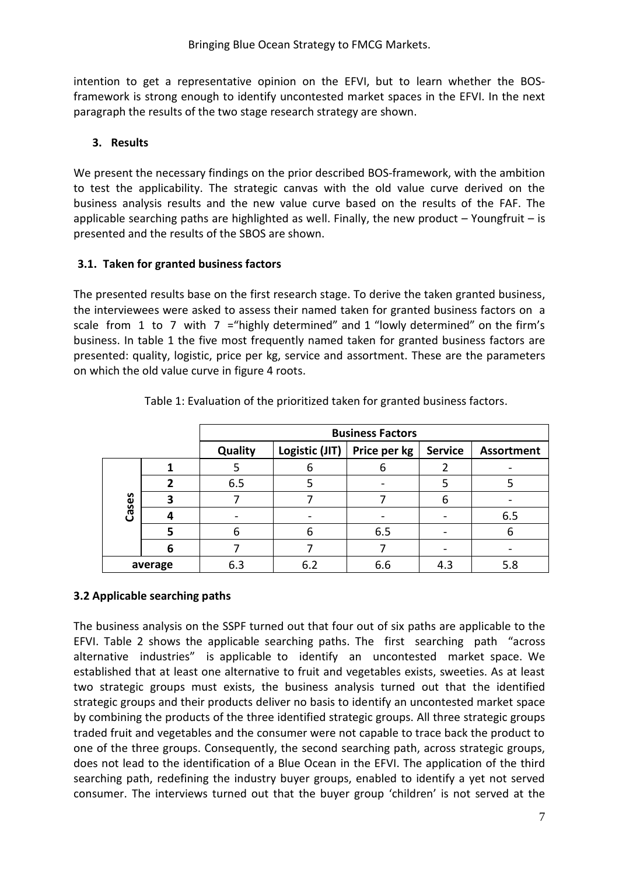intention to get a representative opinion on the EFVI, but to learn whether the BOSframework is strong enough to identify uncontested market spaces in the EFVI. In the next paragraph the results of the two stage research strategy are shown.

# **3. Results**

We present the necessary findings on the prior described BOS-framework, with the ambition to test the applicability. The strategic canvas with the old value curve derived on the business analysis results and the new value curve based on the results of the FAF. The applicable searching paths are highlighted as well. Finally, the new product  $-$  Youngfruit  $-$  is presented and the results of the SBOS are shown.

# **3.1. Taken for granted business factors**

The presented results base on the first research stage. To derive the taken granted business, the interviewees were asked to assess their named taken for granted business factors on a scale from 1 to 7 with  $7$  = "highly determined" and 1 "lowly determined" on the firm's business. In table 1 the five most frequently named taken for granted business factors are presented: quality, logistic, price per kg, service and assortment. These are the parameters on which the old value curve in figure 4 roots.

|         |   | <b>Business Factors</b> |                |              |                |                   |
|---------|---|-------------------------|----------------|--------------|----------------|-------------------|
|         |   | Quality                 | Logistic (JIT) | Price per kg | <b>Service</b> | <b>Assortment</b> |
| Cases   |   |                         | ь              |              |                |                   |
|         |   | 6.5                     |                |              |                |                   |
|         |   |                         |                |              |                |                   |
|         |   |                         |                |              |                | 6.5               |
|         |   | 6                       | 6              | 6.5          |                | b                 |
|         | 6 |                         |                |              |                |                   |
| average |   | 6.3                     | 6.2            | 6.6          | 4.3            | 5.8               |

Table 1: Evaluation of the prioritized taken for granted business factors.

# **3.2 Applicable searching paths**

The business analysis on the SSPF turned out that four out of six paths are applicable to the EFVI. Table 2 shows the applicable searching paths. The first searching path "across alternative industries" is applicable to identify an uncontested market space. We established that at least one alternative to fruit and vegetables exists, sweeties. As at least two strategic groups must exists, the business analysis turned out that the identified strategic groups and their products deliver no basis to identify an uncontested market space by combining the products of the three identified strategic groups. All three strategic groups traded fruit and vegetables and the consumer were not capable to trace back the product to one of the three groups. Consequently, the second searching path, across strategic groups, does not lead to the identification of a Blue Ocean in the EFVI. The application of the third searching path, redefining the industry buyer groups, enabled to identify a yet not served consumer. The interviews turned out that the buyer group 'children' is not served at the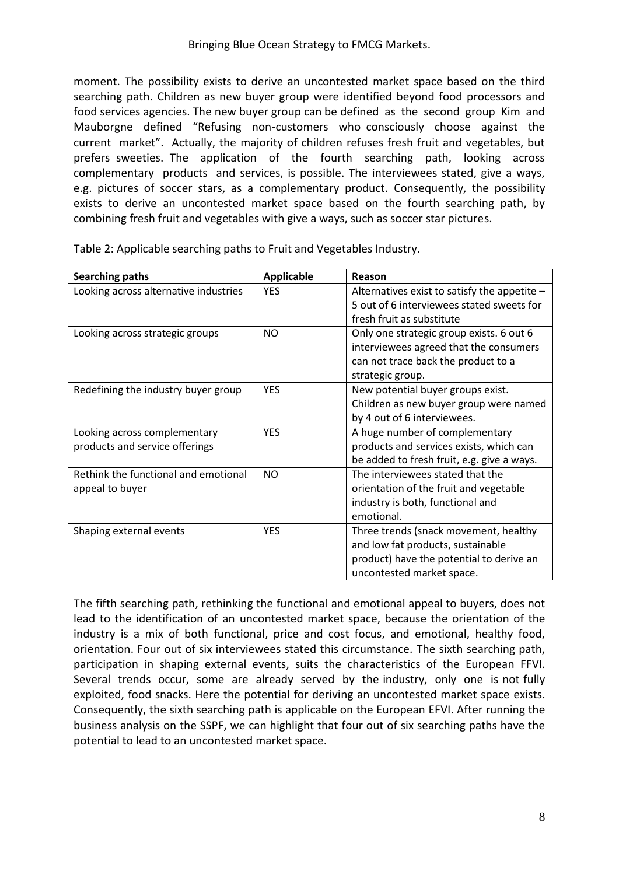Bringing Blue Ocean Strategy to FMCG Markets.

moment. The possibility exists to derive an uncontested market space based on the third searching path. Children as new buyer group were identified beyond food processors and food services agencies. The new buyer group can be defined as the second group Kim and Mauborgne defined "Refusing non-customers who consciously choose against the current market". Actually, the majority of children refuses fresh fruit and vegetables, but prefers sweeties. The application of the fourth searching path, looking across complementary products and services, is possible. The interviewees stated, give a ways, e.g. pictures of soccer stars, as a complementary product. Consequently, the possibility exists to derive an uncontested market space based on the fourth searching path, by combining fresh fruit and vegetables with give a ways, such as soccer star pictures.

| <b>Searching paths</b>                | <b>Applicable</b> | Reason                                                                                    |
|---------------------------------------|-------------------|-------------------------------------------------------------------------------------------|
| Looking across alternative industries | <b>YES</b>        | Alternatives exist to satisfy the appetite -<br>5 out of 6 interviewees stated sweets for |
|                                       |                   | fresh fruit as substitute                                                                 |
| Looking across strategic groups       | NO.               | Only one strategic group exists. 6 out 6                                                  |
|                                       |                   | interviewees agreed that the consumers                                                    |
|                                       |                   | can not trace back the product to a                                                       |
|                                       |                   | strategic group.                                                                          |
| Redefining the industry buyer group   | <b>YES</b>        | New potential buyer groups exist.                                                         |
|                                       |                   | Children as new buyer group were named                                                    |
|                                       |                   | by 4 out of 6 interviewees.                                                               |
| Looking across complementary          | <b>YES</b>        | A huge number of complementary                                                            |
| products and service offerings        |                   | products and services exists, which can                                                   |
|                                       |                   | be added to fresh fruit, e.g. give a ways.                                                |
| Rethink the functional and emotional  | <b>NO</b>         | The interviewees stated that the                                                          |
| appeal to buyer                       |                   | orientation of the fruit and vegetable                                                    |
|                                       |                   | industry is both, functional and                                                          |
|                                       |                   | emotional.                                                                                |
| Shaping external events               | <b>YFS</b>        | Three trends (snack movement, healthy                                                     |
|                                       |                   | and low fat products, sustainable                                                         |
|                                       |                   | product) have the potential to derive an                                                  |
|                                       |                   | uncontested market space.                                                                 |

Table 2: Applicable searching paths to Fruit and Vegetables Industry.

The fifth searching path, rethinking the functional and emotional appeal to buyers, does not lead to the identification of an uncontested market space, because the orientation of the industry is a mix of both functional, price and cost focus, and emotional, healthy food, orientation. Four out of six interviewees stated this circumstance. The sixth searching path, participation in shaping external events, suits the characteristics of the European FFVI. Several trends occur, some are already served by the industry, only one is not fully exploited, food snacks. Here the potential for deriving an uncontested market space exists. Consequently, the sixth searching path is applicable on the European EFVI. After running the business analysis on the SSPF, we can highlight that four out of six searching paths have the potential to lead to an uncontested market space.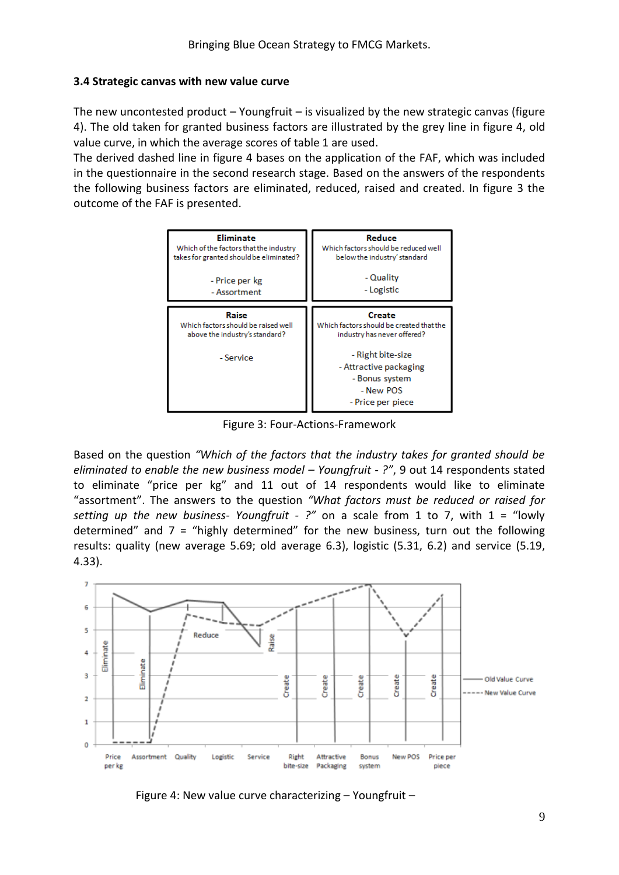#### **3.4 Strategic canvas with new value curve**

The new uncontested product  $-$  Youngfruit  $-$  is visualized by the new strategic canvas (figure 4). The old taken for granted business factors are illustrated by the grey line in figure 4, old value curve, in which the average scores of table 1 are used.

The derived dashed line in figure 4 bases on the application of the FAF, which was included in the questionnaire in the second research stage. Based on the answers of the respondents the following business factors are eliminated, reduced, raised and created. In figure 3 the outcome of the FAF is presented.



Figure 3: Four-Actions-Framework

Based on the question *"Which of the factors that the industry takes for granted should be eliminated to enable the new business model – Youngfruit - ?"*, 9 out 14 respondents stated to eliminate "price per kg" and 11 out of 14 respondents would like to eliminate "assortment". The answers to the question *"What factors must be reduced or raised for setting up the new business- Youngfruit - ?"* on a scale from 1 to 7, with 1 = "lowly determined" and  $7$  = "highly determined" for the new business, turn out the following results: quality (new average 5.69; old average 6.3), logistic (5.31, 6.2) and service (5.19, 4.33).



Figure 4: New value curve characterizing – Youngfruit –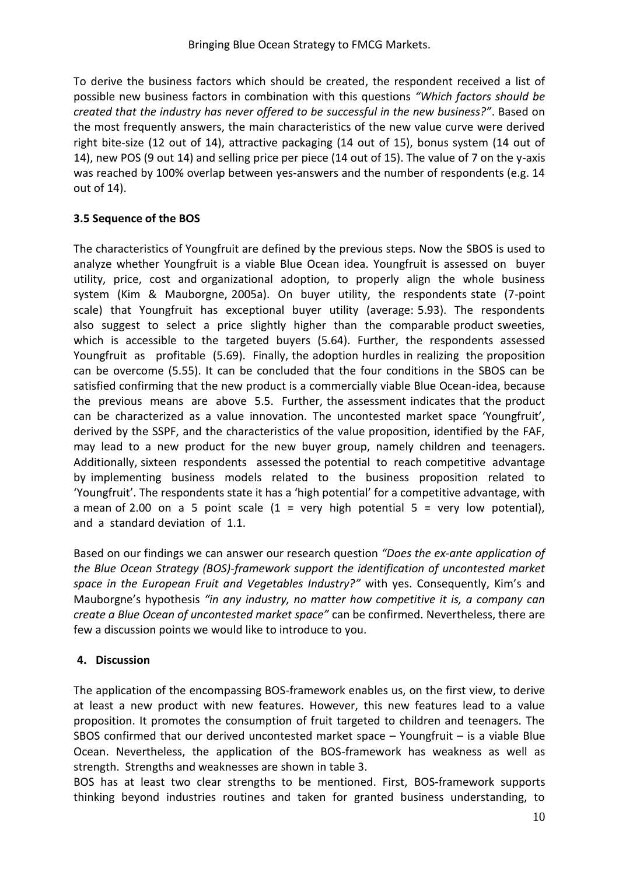To derive the business factors which should be created, the respondent received a list of possible new business factors in combination with this questions *"Which factors should be created that the industry has never offered to be successful in the new business?"*. Based on the most frequently answers, the main characteristics of the new value curve were derived right bite-size (12 out of 14), attractive packaging (14 out of 15), bonus system (14 out of 14), new POS (9 out 14) and selling price per piece (14 out of 15). The value of 7 on the y-axis was reached by 100% overlap between yes-answers and the number of respondents (e.g. 14 out of 14).

# **3.5 Sequence of the BOS**

The characteristics of Youngfruit are defined by the previous steps. Now the SBOS is used to analyze whether Youngfruit is a viable Blue Ocean idea. Youngfruit is assessed on buyer utility, price, cost and organizational adoption, to properly align the whole business system (Kim & Mauborgne, 2005a). On buyer utility, the respondents state (7-point scale) that Youngfruit has exceptional buyer utility (average: 5.93). The respondents also suggest to select a price slightly higher than the comparable product sweeties, which is accessible to the targeted buyers (5.64). Further, the respondents assessed Youngfruit as profitable (5.69). Finally, the adoption hurdles in realizing the proposition can be overcome (5.55). It can be concluded that the four conditions in the SBOS can be satisfied confirming that the new product is a commercially viable Blue Ocean-idea, because the previous means are above 5.5. Further, the assessment indicates that the product can be characterized as a value innovation. The uncontested market space 'Youngfruit', derived by the SSPF, and the characteristics of the value proposition, identified by the FAF, may lead to a new product for the new buyer group, namely children and teenagers. Additionally, sixteen respondents assessed the potential to reach competitive advantage by implementing business models related to the business proposition related to 'Youngfruit'. The respondents state it has a 'high potential' for a competitive advantage, with a mean of 2.00 on a 5 point scale  $(1 = \text{very high potential } 5 = \text{very low potential})$ , and a standard deviation of 1.1.

Based on our findings we can answer our research question *"Does the ex-ante application of the Blue Ocean Strategy (BOS)-framework support the identification of uncontested market space in the European Fruit and Vegetables Industry?"* with yes. Consequently, Kim's and Mauborgne's hypothesis *"in any industry, no matter how competitive it is, a company can create a Blue Ocean of uncontested market space"* can be confirmed. Nevertheless, there are few a discussion points we would like to introduce to you.

# **4. Discussion**

The application of the encompassing BOS-framework enables us, on the first view, to derive at least a new product with new features. However, this new features lead to a value proposition. It promotes the consumption of fruit targeted to children and teenagers. The SBOS confirmed that our derived uncontested market space – Youngfruit – is a viable Blue Ocean. Nevertheless, the application of the BOS-framework has weakness as well as strength. Strengths and weaknesses are shown in table 3.

BOS has at least two clear strengths to be mentioned. First, BOS-framework supports thinking beyond industries routines and taken for granted business understanding, to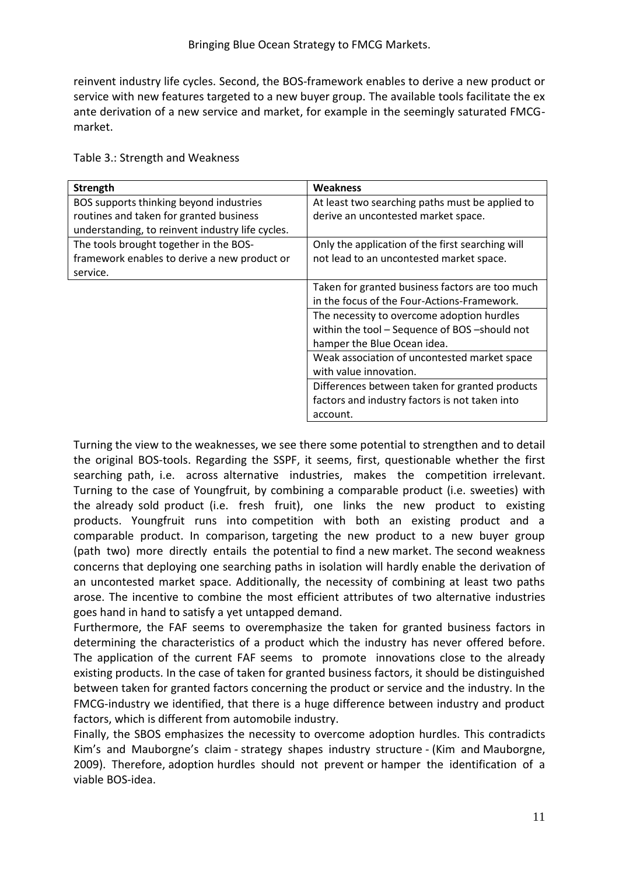reinvent industry life cycles. Second, the BOS-framework enables to derive a new product or service with new features targeted to a new buyer group. The available tools facilitate the ex ante derivation of a new service and market, for example in the seemingly saturated FMCGmarket.

| <b>Strength</b>                                  | <b>Weakness</b>                                  |
|--------------------------------------------------|--------------------------------------------------|
| BOS supports thinking beyond industries          | At least two searching paths must be applied to  |
| routines and taken for granted business          | derive an uncontested market space.              |
| understanding, to reinvent industry life cycles. |                                                  |
| The tools brought together in the BOS-           | Only the application of the first searching will |
| framework enables to derive a new product or     | not lead to an uncontested market space.         |
| service.                                         |                                                  |
|                                                  | Taken for granted business factors are too much  |
|                                                  | in the focus of the Four-Actions-Framework.      |
|                                                  | The necessity to overcome adoption hurdles       |
|                                                  | within the tool - Sequence of BOS - should not   |
|                                                  | hamper the Blue Ocean idea.                      |
|                                                  | Weak association of uncontested market space     |
|                                                  | with value innovation.                           |
|                                                  | Differences between taken for granted products   |
|                                                  | factors and industry factors is not taken into   |
|                                                  | account.                                         |

Table 3.: Strength and Weakness

Turning the view to the weaknesses, we see there some potential to strengthen and to detail the original BOS-tools. Regarding the SSPF, it seems, first, questionable whether the first searching path, i.e. across alternative industries, makes the competition irrelevant. Turning to the case of Youngfruit, by combining a comparable product (i.e. sweeties) with the already sold product (i.e. fresh fruit), one links the new product to existing products. Youngfruit runs into competition with both an existing product and a comparable product. In comparison, targeting the new product to a new buyer group (path two) more directly entails the potential to find a new market. The second weakness concerns that deploying one searching paths in isolation will hardly enable the derivation of an uncontested market space. Additionally, the necessity of combining at least two paths arose. The incentive to combine the most efficient attributes of two alternative industries goes hand in hand to satisfy a yet untapped demand.

Furthermore, the FAF seems to overemphasize the taken for granted business factors in determining the characteristics of a product which the industry has never offered before. The application of the current FAF seems to promote innovations close to the already existing products. In the case of taken for granted business factors, it should be distinguished between taken for granted factors concerning the product or service and the industry. In the FMCG-industry we identified, that there is a huge difference between industry and product factors, which is different from automobile industry.

Finally, the SBOS emphasizes the necessity to overcome adoption hurdles. This contradicts Kim's and Mauborgne's claim - strategy shapes industry structure - (Kim and Mauborgne, 2009). Therefore, adoption hurdles should not prevent or hamper the identification of a viable BOS-idea.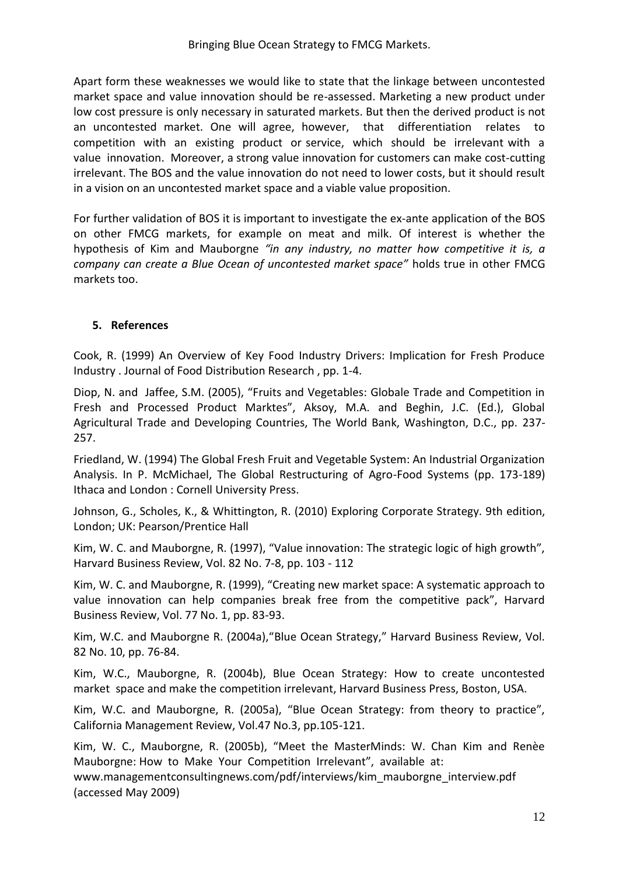Apart form these weaknesses we would like to state that the linkage between uncontested market space and value innovation should be re-assessed. Marketing a new product under low cost pressure is only necessary in saturated markets. But then the derived product is not an uncontested market. One will agree, however, that differentiation relates to competition with an existing product or service, which should be irrelevant with a value innovation. Moreover, a strong value innovation for customers can make cost-cutting irrelevant. The BOS and the value innovation do not need to lower costs, but it should result in a vision on an uncontested market space and a viable value proposition.

For further validation of BOS it is important to investigate the ex-ante application of the BOS on other FMCG markets, for example on meat and milk. Of interest is whether the hypothesis of Kim and Mauborgne *"in any industry, no matter how competitive it is, a company can create a Blue Ocean of uncontested market space"* holds true in other FMCG markets too.

#### **5. References**

Cook, R. (1999) An Overview of Key Food Industry Drivers: Implication for Fresh Produce Industry . Journal of Food Distribution Research , pp. 1-4.

Diop, N. and Jaffee, S.M. (2005), "Fruits and Vegetables: Globale Trade and Competition in Fresh and Processed Product Marktes", Aksoy, M.A. and Beghin, J.C. (Ed.), Global Agricultural Trade and Developing Countries, The World Bank, Washington, D.C., pp. 237- 257.

Friedland, W. (1994) The Global Fresh Fruit and Vegetable System: An Industrial Organization Analysis. In P. McMichael, The Global Restructuring of Agro-Food Systems (pp. 173-189) Ithaca and London : Cornell University Press.

Johnson, G., Scholes, K., & Whittington, R. (2010) Exploring Corporate Strategy. 9th edition, London; UK: Pearson/Prentice Hall

Kim, W. C. and Mauborgne, R. (1997), "Value innovation: The strategic logic of high growth", Harvard Business Review, Vol. 82 No. 7-8, pp. 103 - 112

Kim, W. C. and Mauborgne, R. (1999), "Creating new market space: A systematic approach to value innovation can help companies break free from the competitive pack", Harvard Business Review, Vol. 77 No. 1, pp. 83-93.

Kim, W.C. and Mauborgne R. (2004a),"Blue Ocean Strategy," Harvard Business Review, Vol. 82 No. 10, pp. 76-84.

Kim, W.C., Mauborgne, R. (2004b), Blue Ocean Strategy: How to create uncontested market space and make the competition irrelevant, Harvard Business Press, Boston, USA.

Kim, W.C. and Mauborgne, R. (2005a), "Blue Ocean Strategy: from theory to practice", California Management Review, Vol.47 No.3, pp.105-121.

Kim, W. C., Mauborgne, R. (2005b), "Meet the MasterMinds: W. Chan Kim and Renèe Mauborgne: How to Make Your Competition Irrelevant", available at: www.managementconsultingnews.com/pdf/interviews/kim\_mauborgne\_interview.pdf

(accessed May 2009)